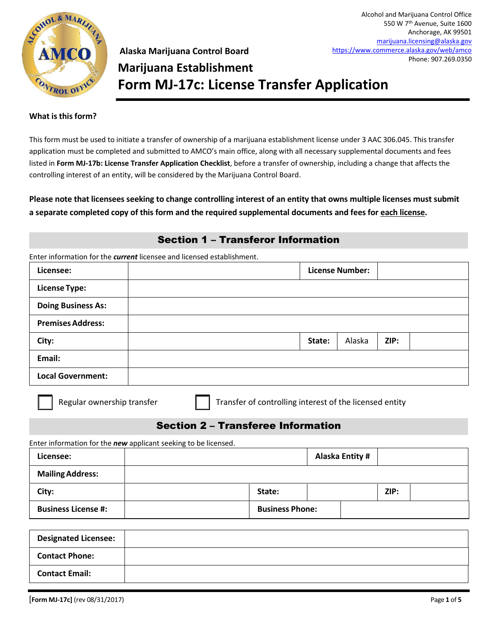

**Alaska Marijuana Control Board Marijuana Establishment Form MJ-17c: License Transfer Application** 

#### **What is this form?**

This form must be used to initiate a transfer of ownership of a marijuana establishment license under 3 AAC 306.045. This transfer application must be completed and submitted to AMCO's main office, along with all necessary supplemental documents and fees listed in **Form MJ-17b: License Transfer Application Checklist**, before a transfer of ownership, including a change that affects the controlling interest of an entity, will be considered by the Marijuana Control Board.

**Please note that licensees seeking to change controlling interest of an entity that owns multiple licenses must submit a separate completed copy of this form and the required supplemental documents and fees for each license.**

#### Section 1 – Transferor Information

| Licensee:                                                                                     |  |                                                         |        | <b>License Number:</b> |      |  |
|-----------------------------------------------------------------------------------------------|--|---------------------------------------------------------|--------|------------------------|------|--|
| <b>License Type:</b>                                                                          |  |                                                         |        |                        |      |  |
| <b>Doing Business As:</b>                                                                     |  |                                                         |        |                        |      |  |
| <b>Premises Address:</b>                                                                      |  |                                                         |        |                        |      |  |
| City:                                                                                         |  |                                                         | State: | Alaska                 | ZIP: |  |
| Email:                                                                                        |  |                                                         |        |                        |      |  |
| <b>Local Government:</b>                                                                      |  |                                                         |        |                        |      |  |
| Regular ownership transfer                                                                    |  | Transfer of controlling interest of the licensed entity |        |                        |      |  |
|                                                                                               |  | <b>Section 2 - Transferee Information</b>               |        |                        |      |  |
| Licensee:                                                                                     |  |                                                         |        | <b>Alaska Entity #</b> |      |  |
| <b>Mailing Address:</b>                                                                       |  |                                                         |        |                        |      |  |
| City:                                                                                         |  | State:                                                  |        |                        | ZIP: |  |
| Enter information for the new applicant seeking to be licensed.<br><b>Business License #:</b> |  | <b>Business Phone:</b>                                  |        |                        |      |  |
|                                                                                               |  |                                                         |        |                        |      |  |
| <b>Designated Licensee:</b>                                                                   |  |                                                         |        |                        |      |  |

**Contact Email:**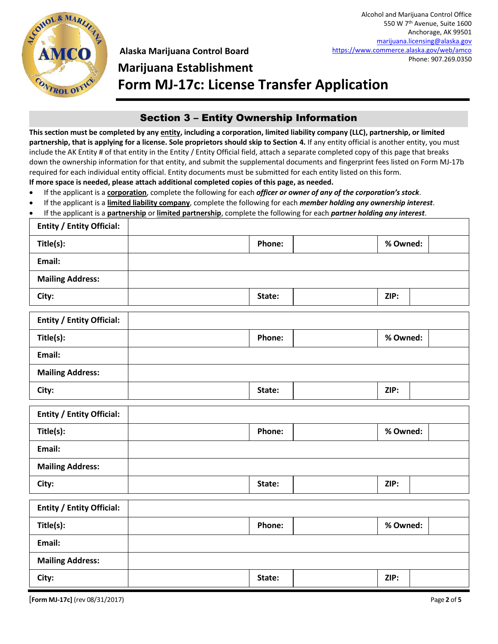

# **Marijuana Establishment Form MJ-17c: License Transfer Application**

### Section 3 – Entity Ownership Information

**This section must be completed by any entity, including a corporation, limited liability company (LLC), partnership, or limited**  partnership, that is applying for a license. Sole proprietors should skip to Section 4. If any entity official is another entity, you must include the AK Entity # of that entity in the Entity / Entity Official field, attach a separate completed copy of this page that breaks down the ownership information for that entity, and submit the supplemental documents and fingerprint fees listed on Form MJ-17b required for each individual entity official. Entity documents must be submitted for each entity listed on this form. **If more space is needed, please attach additional completed copies of this page, as needed.**

If the applicant is a **corporation**, complete the following for each *officer or owner of any of the corporation's stock*.

- If the applicant is a **limited liability company**, complete the following for each *member holding any ownership interest*.
- If the applicant is a **partnership** or **limited partnership**, complete the following for each *partner holding any interest*.

| <b>Entity / Entity Official:</b> |        |          |  |
|----------------------------------|--------|----------|--|
| Title(s):                        | Phone: | % Owned: |  |
| Email:                           |        |          |  |
| <b>Mailing Address:</b>          |        |          |  |
| City:                            | State: | ZIP:     |  |
| <b>Entity / Entity Official:</b> |        |          |  |
| Title(s):                        | Phone: | % Owned: |  |
| Email:                           |        |          |  |
| <b>Mailing Address:</b>          |        |          |  |
| City:                            | State: | ZIP:     |  |
| <b>Entity / Entity Official:</b> |        |          |  |
| Title(s):                        | Phone: | % Owned: |  |
| Email:                           |        |          |  |
| <b>Mailing Address:</b>          |        |          |  |
| City:                            | State: | ZIP:     |  |
| <b>Entity / Entity Official:</b> |        |          |  |
| Title(s):                        | Phone: | % Owned: |  |
| Email:                           |        |          |  |
| <b>Mailing Address:</b>          |        |          |  |
| City:                            | State: | ZIP:     |  |

[**Form MJ-17c]** (rev 08/31/2017) Page **2** of **5**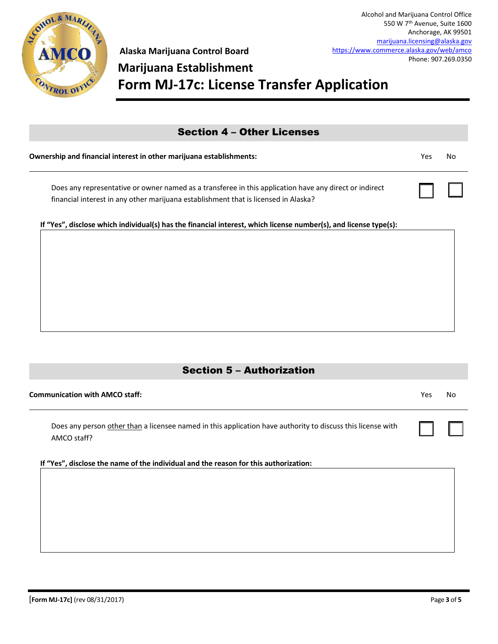

☐ ☐

## **Marijuana Establishment Form MJ-17c: License Transfer Application**

### Section 4 – Other Licenses

| Ownership and financial interest in other marijuana establishments: | Yes No |  |
|---------------------------------------------------------------------|--------|--|
|---------------------------------------------------------------------|--------|--|

Does any representative or owner named as a transferee in this application have any direct or indirect financial interest in any other marijuana establishment that is licensed in Alaska?

**If "Yes", disclose which individual(s) has the financial interest, which license number(s), and license type(s):**

#### Section 5 – Authorization

| Does any person other than a licensee named in this application have authority to discuss this license with<br>AMCO staff? | $\mathsf{L}$ |  |
|----------------------------------------------------------------------------------------------------------------------------|--------------|--|
|                                                                                                                            |              |  |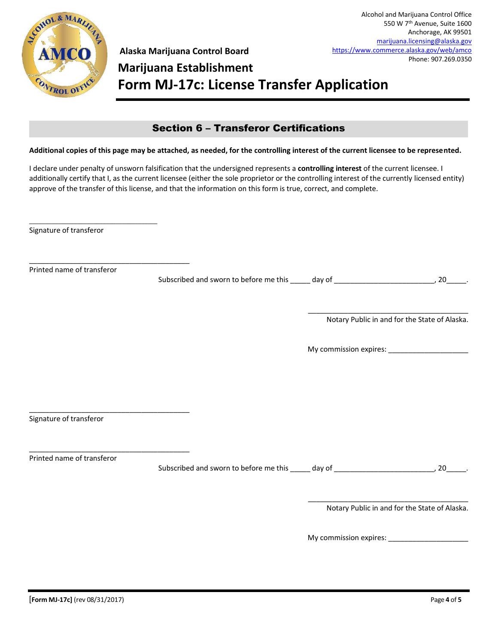

# **Marijuana Establishment Form MJ-17c: License Transfer Application**

#### Section 6 – Transferor Certifications

#### **Additional copies of this page may be attached, as needed, for the controlling interest of the current licensee to be represented.**

I declare under penalty of unsworn falsification that the undersigned represents a **controlling interest** of the current licensee. I additionally certify that I, as the current licensee (either the sole proprietor or the controlling interest of the currently licensed entity) approve of the transfer of this license, and that the information on this form is true, correct, and complete.

Signature of transferor

\_\_\_\_\_\_\_\_\_\_\_\_\_\_\_\_\_\_\_\_\_\_\_\_\_\_\_\_\_\_\_\_\_\_\_\_\_\_\_\_

\_\_\_\_\_\_\_\_\_\_\_\_\_\_\_\_\_\_\_\_\_\_\_\_\_\_\_\_\_\_\_\_\_\_\_\_\_\_\_\_

\_\_\_\_\_\_\_\_\_\_\_\_\_\_\_\_\_\_\_\_\_\_\_\_\_\_\_\_\_\_\_\_\_\_\_\_\_\_\_\_

\_\_\_\_\_\_\_\_\_\_\_\_\_\_\_\_\_\_\_\_\_\_\_\_\_\_\_\_\_\_\_\_\_\_\_\_\_\_\_\_

Printed name of transferor

Subscribed and sworn to before me this \_\_\_\_\_ day of \_\_\_\_\_\_\_\_\_\_\_\_\_\_\_\_\_\_\_\_\_\_\_\_\_\_\_\_, 20\_\_\_\_\_\_.

\_\_\_\_\_\_\_\_\_\_\_\_\_\_\_\_\_\_\_\_\_\_\_\_\_\_\_\_\_\_\_\_\_\_\_\_\_\_\_\_ Notary Public in and for the State of Alaska.

My commission expires: \_\_\_\_\_\_\_\_\_\_\_\_\_\_\_\_\_\_\_\_

Signature of transferor

Printed name of transferor

Subscribed and sworn to before me this \_\_\_\_\_ day of \_\_\_\_\_\_\_\_\_\_\_\_\_\_\_\_\_\_\_\_\_\_\_\_\_\_\_, 20\_\_\_\_\_\_.

\_\_\_\_\_\_\_\_\_\_\_\_\_\_\_\_\_\_\_\_\_\_\_\_\_\_\_\_\_\_\_\_\_\_\_\_\_\_\_\_ Notary Public in and for the State of Alaska.

My commission expires: \_\_\_\_\_\_\_\_\_\_\_\_\_\_\_\_\_\_\_\_